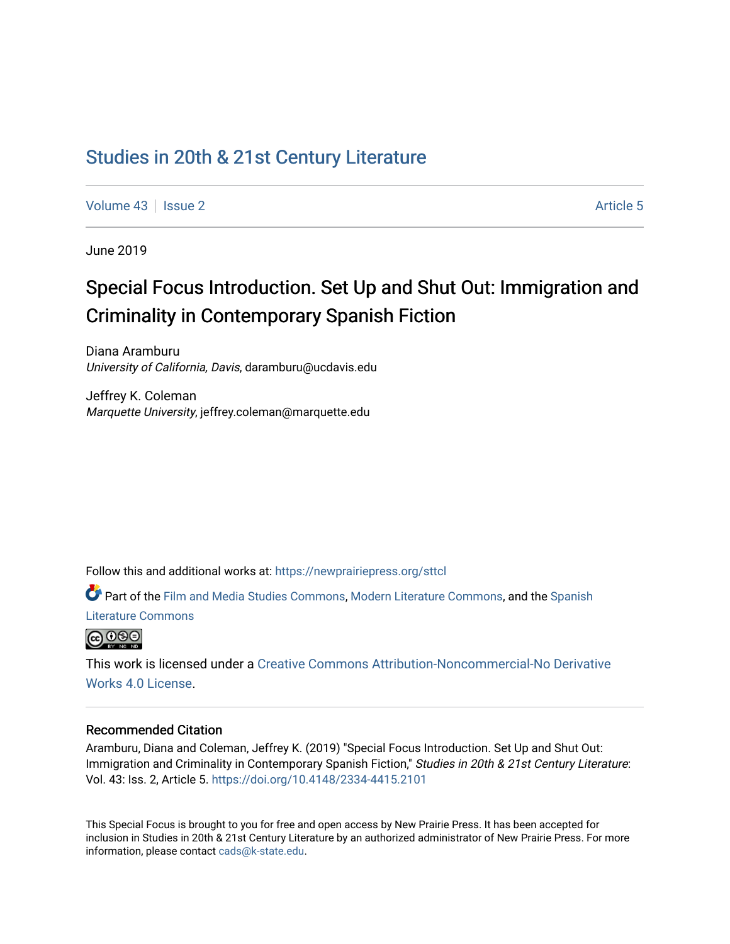# [Studies in 20th & 21st Century Literature](https://newprairiepress.org/sttcl)

[Volume 43](https://newprairiepress.org/sttcl/vol43) | [Issue 2](https://newprairiepress.org/sttcl/vol43/iss2) Article 5

June 2019

# Special Focus Introduction. Set Up and Shut Out: Immigration and Criminality in Contemporary Spanish Fiction

Diana Aramburu University of California, Davis, daramburu@ucdavis.edu

Jeffrey K. Coleman Marquette University, jeffrey.coleman@marquette.edu

Follow this and additional works at: [https://newprairiepress.org/sttcl](https://newprairiepress.org/sttcl?utm_source=newprairiepress.org%2Fsttcl%2Fvol43%2Fiss2%2F5&utm_medium=PDF&utm_campaign=PDFCoverPages) 

Part of the [Film and Media Studies Commons,](http://network.bepress.com/hgg/discipline/563?utm_source=newprairiepress.org%2Fsttcl%2Fvol43%2Fiss2%2F5&utm_medium=PDF&utm_campaign=PDFCoverPages) [Modern Literature Commons,](http://network.bepress.com/hgg/discipline/1050?utm_source=newprairiepress.org%2Fsttcl%2Fvol43%2Fiss2%2F5&utm_medium=PDF&utm_campaign=PDFCoverPages) and the [Spanish](http://network.bepress.com/hgg/discipline/550?utm_source=newprairiepress.org%2Fsttcl%2Fvol43%2Fiss2%2F5&utm_medium=PDF&utm_campaign=PDFCoverPages)  [Literature Commons](http://network.bepress.com/hgg/discipline/550?utm_source=newprairiepress.org%2Fsttcl%2Fvol43%2Fiss2%2F5&utm_medium=PDF&utm_campaign=PDFCoverPages) 



This work is licensed under a [Creative Commons Attribution-Noncommercial-No Derivative](https://creativecommons.org/licenses/by-nc-nd/4.0/)  [Works 4.0 License](https://creativecommons.org/licenses/by-nc-nd/4.0/).

#### Recommended Citation

Aramburu, Diana and Coleman, Jeffrey K. (2019) "Special Focus Introduction. Set Up and Shut Out: Immigration and Criminality in Contemporary Spanish Fiction," Studies in 20th & 21st Century Literature: Vol. 43: Iss. 2, Article 5. <https://doi.org/10.4148/2334-4415.2101>

This Special Focus is brought to you for free and open access by New Prairie Press. It has been accepted for inclusion in Studies in 20th & 21st Century Literature by an authorized administrator of New Prairie Press. For more information, please contact [cads@k-state.edu](mailto:cads@k-state.edu).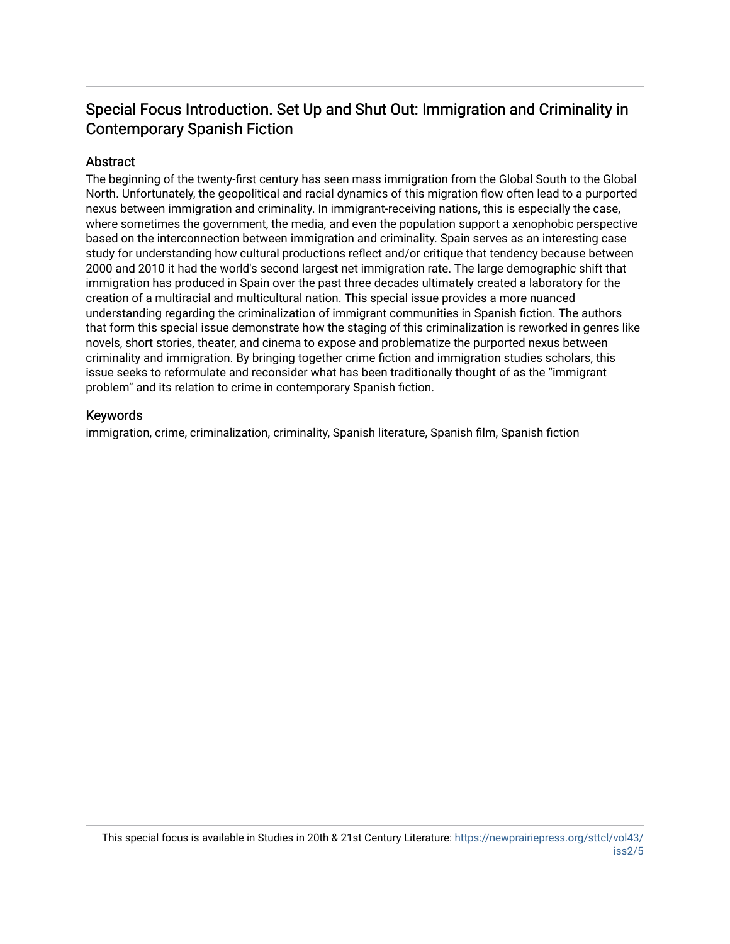# Special Focus Introduction. Set Up and Shut Out: Immigration and Criminality in Contemporary Spanish Fiction

## Abstract

The beginning of the twenty-first century has seen mass immigration from the Global South to the Global North. Unfortunately, the geopolitical and racial dynamics of this migration flow often lead to a purported nexus between immigration and criminality. In immigrant-receiving nations, this is especially the case, where sometimes the government, the media, and even the population support a xenophobic perspective based on the interconnection between immigration and criminality. Spain serves as an interesting case study for understanding how cultural productions reflect and/or critique that tendency because between 2000 and 2010 it had the world's second largest net immigration rate. The large demographic shift that immigration has produced in Spain over the past three decades ultimately created a laboratory for the creation of a multiracial and multicultural nation. This special issue provides a more nuanced understanding regarding the criminalization of immigrant communities in Spanish fiction. The authors that form this special issue demonstrate how the staging of this criminalization is reworked in genres like novels, short stories, theater, and cinema to expose and problematize the purported nexus between criminality and immigration. By bringing together crime fiction and immigration studies scholars, this issue seeks to reformulate and reconsider what has been traditionally thought of as the "immigrant problem" and its relation to crime in contemporary Spanish fiction.

#### Keywords

immigration, crime, criminalization, criminality, Spanish literature, Spanish film, Spanish fiction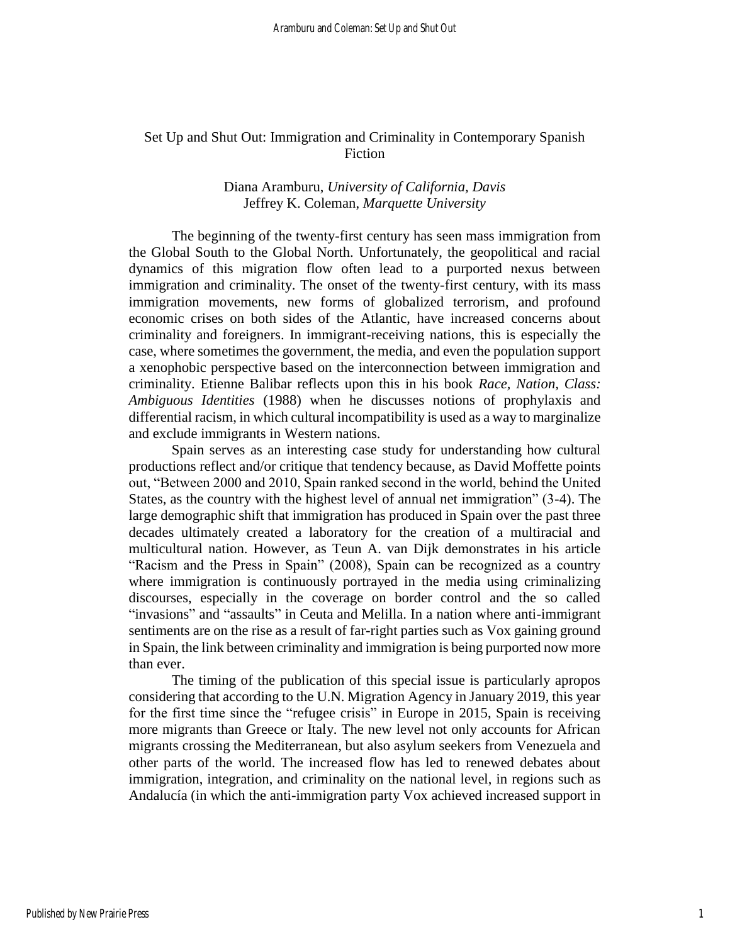## Set Up and Shut Out: Immigration and Criminality in Contemporary Spanish Fiction

## Diana Aramburu, *University of California, Davis* Jeffrey K. Coleman, *Marquette University*

The beginning of the twenty-first century has seen mass immigration from the Global South to the Global North. Unfortunately, the geopolitical and racial dynamics of this migration flow often lead to a purported nexus between immigration and criminality. The onset of the twenty-first century, with its mass immigration movements, new forms of globalized terrorism, and profound economic crises on both sides of the Atlantic, have increased concerns about criminality and foreigners. In immigrant-receiving nations, this is especially the case, where sometimes the government, the media, and even the population support a xenophobic perspective based on the interconnection between immigration and criminality. Etienne Balibar reflects upon this in his book *Race, Nation, Class: Ambiguous Identities* (1988) when he discusses notions of prophylaxis and differential racism, in which cultural incompatibility is used as a way to marginalize and exclude immigrants in Western nations.

Spain serves as an interesting case study for understanding how cultural productions reflect and/or critique that tendency because, as David Moffette points out, "Between 2000 and 2010, Spain ranked second in the world, behind the United States, as the country with the highest level of annual net immigration" (3-4). The large demographic shift that immigration has produced in Spain over the past three decades ultimately created a laboratory for the creation of a multiracial and multicultural nation. However, as Teun A. van Dijk demonstrates in his article "Racism and the Press in Spain" (2008), Spain can be recognized as a country where immigration is continuously portrayed in the media using criminalizing discourses, especially in the coverage on border control and the so called "invasions" and "assaults" in Ceuta and Melilla. In a nation where anti-immigrant sentiments are on the rise as a result of far-right parties such as Vox gaining ground in Spain, the link between criminality and immigration is being purported now more than ever.

The timing of the publication of this special issue is particularly apropos considering that according to the U.N. Migration Agency in January 2019, this year for the first time since the "refugee crisis" in Europe in 2015, Spain is receiving more migrants than Greece or Italy. The new level not only accounts for African migrants crossing the Mediterranean, but also asylum seekers from Venezuela and other parts of the world. The increased flow has led to renewed debates about immigration, integration, and criminality on the national level, in regions such as Andalucía (in which the anti-immigration party Vox achieved increased support in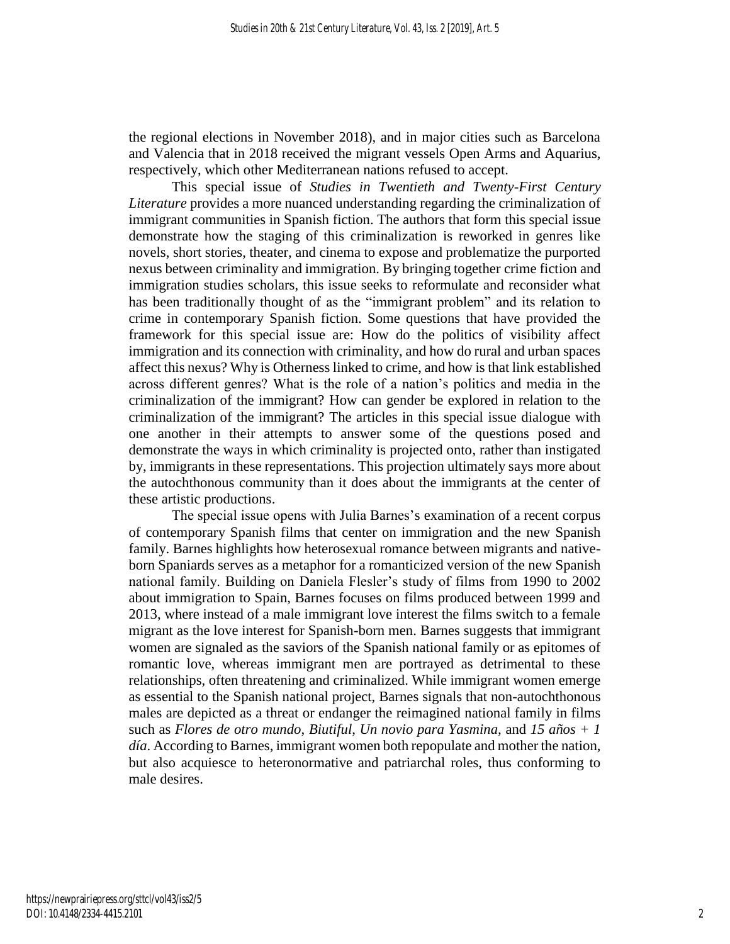the regional elections in November 2018), and in major cities such as Barcelona and Valencia that in 2018 received the migrant vessels Open Arms and Aquarius, respectively, which other Mediterranean nations refused to accept.

This special issue of *Studies in Twentieth and Twenty-First Century Literature* provides a more nuanced understanding regarding the criminalization of immigrant communities in Spanish fiction. The authors that form this special issue demonstrate how the staging of this criminalization is reworked in genres like novels, short stories, theater, and cinema to expose and problematize the purported nexus between criminality and immigration. By bringing together crime fiction and immigration studies scholars, this issue seeks to reformulate and reconsider what has been traditionally thought of as the "immigrant problem" and its relation to crime in contemporary Spanish fiction. Some questions that have provided the framework for this special issue are: How do the politics of visibility affect immigration and its connection with criminality, and how do rural and urban spaces affect this nexus? Why is Otherness linked to crime, and how is that link established across different genres? What is the role of a nation's politics and media in the criminalization of the immigrant? How can gender be explored in relation to the criminalization of the immigrant? The articles in this special issue dialogue with one another in their attempts to answer some of the questions posed and demonstrate the ways in which criminality is projected onto, rather than instigated by, immigrants in these representations. This projection ultimately says more about the autochthonous community than it does about the immigrants at the center of these artistic productions.

The special issue opens with Julia Barnes's examination of a recent corpus of contemporary Spanish films that center on immigration and the new Spanish family. Barnes highlights how heterosexual romance between migrants and nativeborn Spaniards serves as a metaphor for a romanticized version of the new Spanish national family. Building on Daniela Flesler's study of films from 1990 to 2002 about immigration to Spain, Barnes focuses on films produced between 1999 and 2013, where instead of a male immigrant love interest the films switch to a female migrant as the love interest for Spanish-born men. Barnes suggests that immigrant women are signaled as the saviors of the Spanish national family or as epitomes of romantic love, whereas immigrant men are portrayed as detrimental to these relationships, often threatening and criminalized. While immigrant women emerge as essential to the Spanish national project, Barnes signals that non-autochthonous males are depicted as a threat or endanger the reimagined national family in films such as *Flores de otro mundo*, *Biutiful*, *Un novio para Yasmina,* and *15 años + 1 día*. According to Barnes, immigrant women both repopulate and mother the nation, but also acquiesce to heteronormative and patriarchal roles, thus conforming to male desires.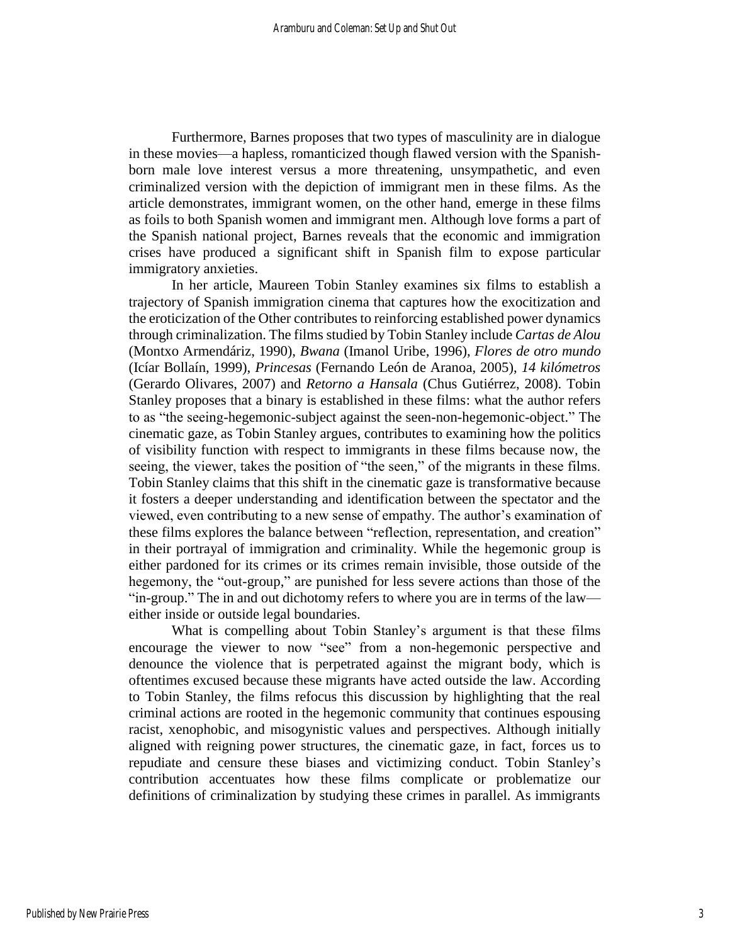Furthermore, Barnes proposes that two types of masculinity are in dialogue in these movies—a hapless, romanticized though flawed version with the Spanishborn male love interest versus a more threatening, unsympathetic, and even criminalized version with the depiction of immigrant men in these films. As the article demonstrates, immigrant women, on the other hand, emerge in these films as foils to both Spanish women and immigrant men. Although love forms a part of the Spanish national project, Barnes reveals that the economic and immigration crises have produced a significant shift in Spanish film to expose particular immigratory anxieties.

In her article, Maureen Tobin Stanley examines six films to establish a trajectory of Spanish immigration cinema that captures how the exocitization and the eroticization of the Other contributes to reinforcing established power dynamics through criminalization. The films studied by Tobin Stanley include *Cartas de Alou* (Montxo Armendáriz, 1990), *Bwana* (Imanol Uribe, 1996), *Flores de otro mundo* (Icíar Bollaín, 1999), *Princesas* (Fernando León de Aranoa, 2005), *14 kilómetros* (Gerardo Olivares, 2007) and *Retorno a Hansala* (Chus Gutiérrez, 2008). Tobin Stanley proposes that a binary is established in these films: what the author refers to as "the seeing-hegemonic-subject against the seen-non-hegemonic-object." The cinematic gaze, as Tobin Stanley argues, contributes to examining how the politics of visibility function with respect to immigrants in these films because now, the seeing, the viewer, takes the position of "the seen," of the migrants in these films. Tobin Stanley claims that this shift in the cinematic gaze is transformative because it fosters a deeper understanding and identification between the spectator and the viewed, even contributing to a new sense of empathy. The author's examination of these films explores the balance between "reflection, representation, and creation" in their portrayal of immigration and criminality. While the hegemonic group is either pardoned for its crimes or its crimes remain invisible, those outside of the hegemony, the "out-group," are punished for less severe actions than those of the "in-group." The in and out dichotomy refers to where you are in terms of the law either inside or outside legal boundaries.

What is compelling about Tobin Stanley's argument is that these films encourage the viewer to now "see" from a non-hegemonic perspective and denounce the violence that is perpetrated against the migrant body, which is oftentimes excused because these migrants have acted outside the law. According to Tobin Stanley, the films refocus this discussion by highlighting that the real criminal actions are rooted in the hegemonic community that continues espousing racist, xenophobic, and misogynistic values and perspectives. Although initially aligned with reigning power structures, the cinematic gaze, in fact, forces us to repudiate and censure these biases and victimizing conduct. Tobin Stanley's contribution accentuates how these films complicate or problematize our definitions of criminalization by studying these crimes in parallel. As immigrants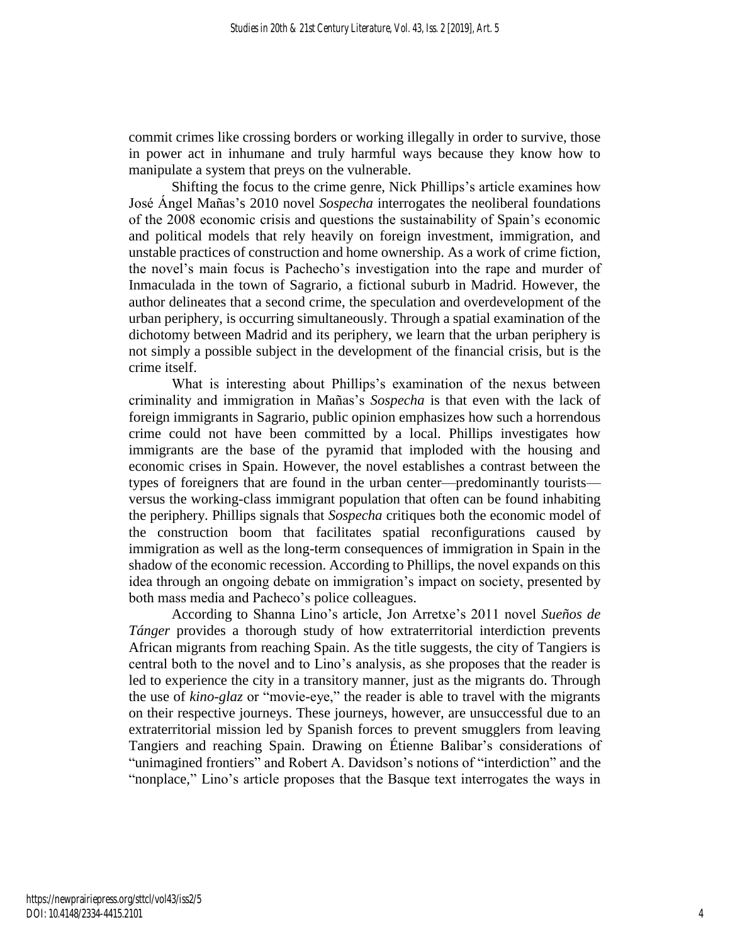commit crimes like crossing borders or working illegally in order to survive, those in power act in inhumane and truly harmful ways because they know how to manipulate a system that preys on the vulnerable.

Shifting the focus to the crime genre, Nick Phillips's article examines how José Ángel Mañas's 2010 novel *Sospecha* interrogates the neoliberal foundations of the 2008 economic crisis and questions the sustainability of Spain's economic and political models that rely heavily on foreign investment, immigration, and unstable practices of construction and home ownership. As a work of crime fiction, the novel's main focus is Pachecho's investigation into the rape and murder of Inmaculada in the town of Sagrario, a fictional suburb in Madrid. However, the author delineates that a second crime, the speculation and overdevelopment of the urban periphery, is occurring simultaneously. Through a spatial examination of the dichotomy between Madrid and its periphery, we learn that the urban periphery is not simply a possible subject in the development of the financial crisis, but is the crime itself.

What is interesting about Phillips's examination of the nexus between criminality and immigration in Mañas's *Sospecha* is that even with the lack of foreign immigrants in Sagrario, public opinion emphasizes how such a horrendous crime could not have been committed by a local. Phillips investigates how immigrants are the base of the pyramid that imploded with the housing and economic crises in Spain. However, the novel establishes a contrast between the types of foreigners that are found in the urban center—predominantly tourists versus the working-class immigrant population that often can be found inhabiting the periphery. Phillips signals that *Sospecha* critiques both the economic model of the construction boom that facilitates spatial reconfigurations caused by immigration as well as the long-term consequences of immigration in Spain in the shadow of the economic recession. According to Phillips, the novel expands on this idea through an ongoing debate on immigration's impact on society, presented by both mass media and Pacheco's police colleagues.

According to Shanna Lino's article, Jon Arretxe's 2011 novel *Sueños de Tánger* provides a thorough study of how extraterritorial interdiction prevents African migrants from reaching Spain. As the title suggests, the city of Tangiers is central both to the novel and to Lino's analysis, as she proposes that the reader is led to experience the city in a transitory manner, just as the migrants do. Through the use of *kino-glaz* or "movie-eye," the reader is able to travel with the migrants on their respective journeys. These journeys, however, are unsuccessful due to an extraterritorial mission led by Spanish forces to prevent smugglers from leaving Tangiers and reaching Spain. Drawing on Étienne Balibar's considerations of "unimagined frontiers" and Robert A. Davidson's notions of "interdiction" and the "nonplace," Lino's article proposes that the Basque text interrogates the ways in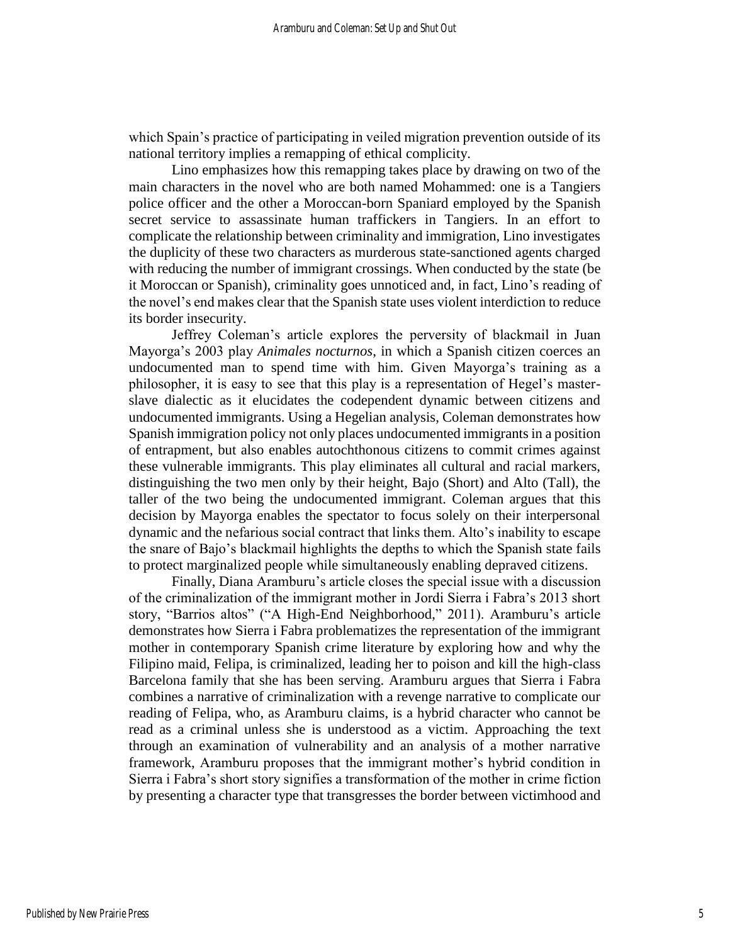which Spain's practice of participating in veiled migration prevention outside of its national territory implies a remapping of ethical complicity.

Lino emphasizes how this remapping takes place by drawing on two of the main characters in the novel who are both named Mohammed: one is a Tangiers police officer and the other a Moroccan-born Spaniard employed by the Spanish secret service to assassinate human traffickers in Tangiers. In an effort to complicate the relationship between criminality and immigration, Lino investigates the duplicity of these two characters as murderous state-sanctioned agents charged with reducing the number of immigrant crossings. When conducted by the state (be it Moroccan or Spanish), criminality goes unnoticed and, in fact, Lino's reading of the novel's end makes clear that the Spanish state uses violent interdiction to reduce its border insecurity.

Jeffrey Coleman's article explores the perversity of blackmail in Juan Mayorga's 2003 play *Animales nocturnos*, in which a Spanish citizen coerces an undocumented man to spend time with him. Given Mayorga's training as a philosopher, it is easy to see that this play is a representation of Hegel's masterslave dialectic as it elucidates the codependent dynamic between citizens and undocumented immigrants. Using a Hegelian analysis, Coleman demonstrates how Spanish immigration policy not only places undocumented immigrants in a position of entrapment, but also enables autochthonous citizens to commit crimes against these vulnerable immigrants. This play eliminates all cultural and racial markers, distinguishing the two men only by their height, Bajo (Short) and Alto (Tall), the taller of the two being the undocumented immigrant. Coleman argues that this decision by Mayorga enables the spectator to focus solely on their interpersonal dynamic and the nefarious social contract that links them. Alto's inability to escape the snare of Bajo's blackmail highlights the depths to which the Spanish state fails to protect marginalized people while simultaneously enabling depraved citizens.

Finally, Diana Aramburu's article closes the special issue with a discussion of the criminalization of the immigrant mother in Jordi Sierra i Fabra's 2013 short story, "Barrios altos" ("A High-End Neighborhood," 2011). Aramburu's article demonstrates how Sierra i Fabra problematizes the representation of the immigrant mother in contemporary Spanish crime literature by exploring how and why the Filipino maid, Felipa, is criminalized, leading her to poison and kill the high-class Barcelona family that she has been serving. Aramburu argues that Sierra i Fabra combines a narrative of criminalization with a revenge narrative to complicate our reading of Felipa, who, as Aramburu claims, is a hybrid character who cannot be read as a criminal unless she is understood as a victim. Approaching the text through an examination of vulnerability and an analysis of a mother narrative framework, Aramburu proposes that the immigrant mother's hybrid condition in Sierra i Fabra's short story signifies a transformation of the mother in crime fiction by presenting a character type that transgresses the border between victimhood and